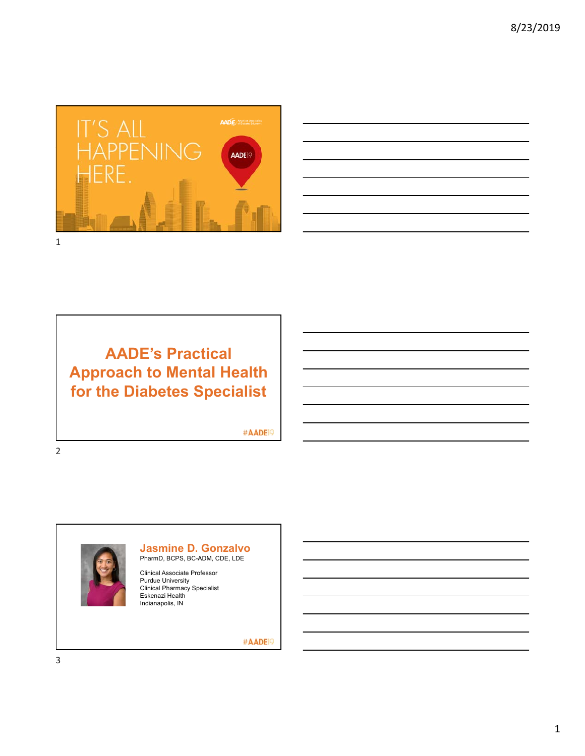



## **AADE's Practical Approach to Mental Health for the Diabetes Specialist**

#AADE<sup>19</sup>



**Jasmine D. Gonzalvo** PharmD, BCPS, BC-ADM, CDE, LDE

Clinical Associate Professor Purdue University Clinical Pharmacy Specialist Eskenazi Health Indianapolis, IN

#AADE<sup>19</sup>

3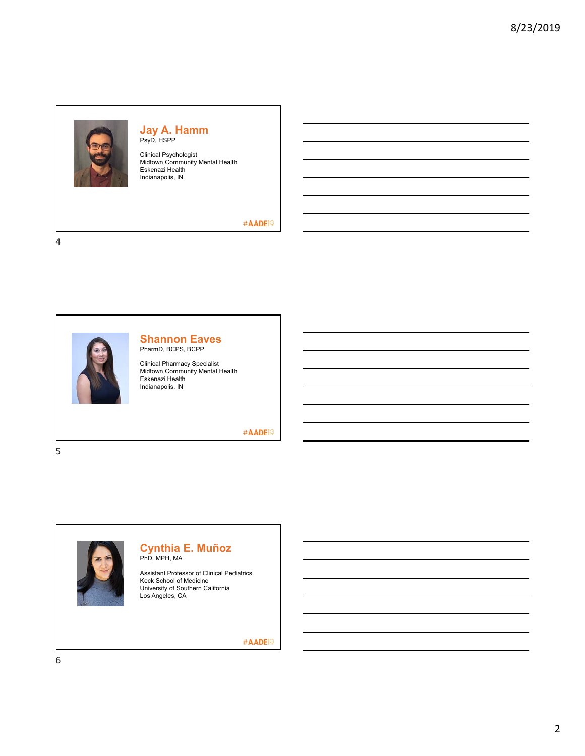

#### **Jay A. Hamm** PsyD, HSPP

Clinical Psychologist Midtown Community Mental Health Eskenazi Health Indianapolis, IN

#### #AADE<sup>19</sup>

4



## **Shannon Eaves**

PharmD, BCPS, BCPP

Clinical Pharmacy Specialist Midtown Community Mental Health Eskenazi Health Indianapolis, IN

#AADE<sup>19</sup>

5



#### **Cynthia E. Muñoz** PhD, MPH, MA

Assistant Professor of Clinical Pediatrics Keck School of Medicine University of Southern California Los Angeles, CA

#AADE<sup>19</sup>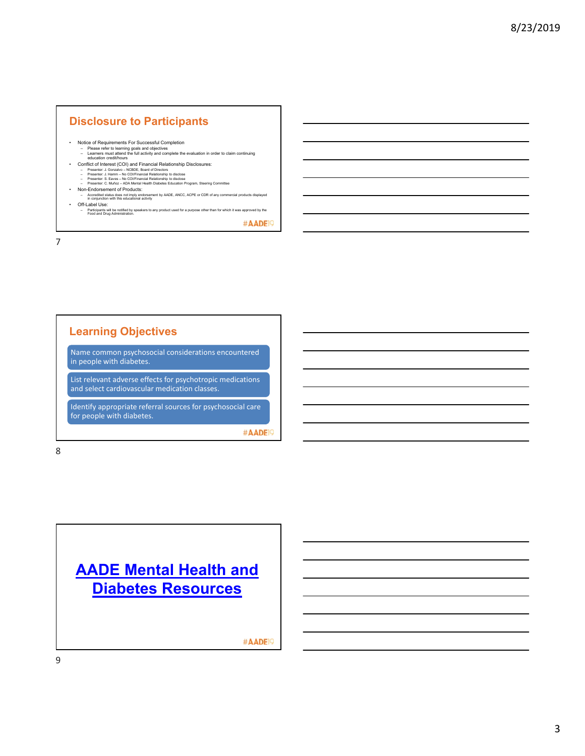### **Disclosure to Participants**

- Notice of Requirements For Successful Completion
	- Please refer to learning goals and objectives Learners must attend the full activity and complete the evaluation in order to claim continuing education credit/hours
	-
- Conflict of Interest (COI) and Financial Relationship Disclosures:
	- Presenter: J. Gonzalvo NCBDE, Board of Directors Presenter: J. Hamm No COI/Financial Relationship to disclose Presenter: S. Eaves No COI/Financial Relationship to disclose
	-
	-
- Presenter: C. Municz ADA Merial Health Diabetes Education Program, Steering Committee<br>- Accredited status does not imply endorsements by AADE, ANCC, ACPE or CDR of any commercial products displayed<br>- In conjunction wit • Off-Label Use:
	- Participants will be notified by speakers to any product used for a purpose other than for which it was approved by the Food and Drug Administration.

#AADE<sup>19</sup>

7

## **Learning Objectives**

Name common psychosocial considerations encountered in people with diabetes.

List relevant adverse effects for psychotropic medications and select cardiovascular medication classes.

Identify appropriate referral sources for psychosocial care for people with diabetes.

#AADE<sup>19</sup>

8



#AADE<sup>19</sup>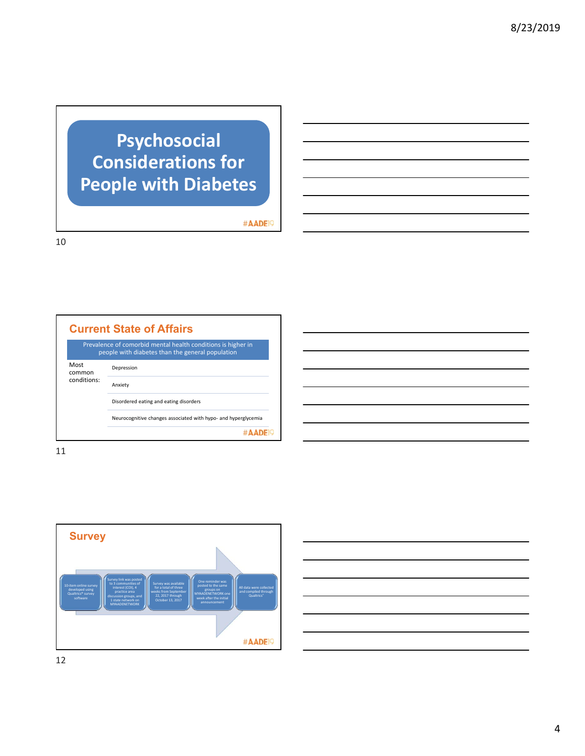# **Psychosocial Considerations for People with Diabetes**

#AADE<sup>19</sup>

10

|                               | <b>Current State of Affairs</b>                                                                                  |
|-------------------------------|------------------------------------------------------------------------------------------------------------------|
|                               | Prevalence of comorbid mental health conditions is higher in<br>people with diabetes than the general population |
| Most<br>common<br>conditions: | Depression                                                                                                       |
|                               | Anxiety                                                                                                          |
|                               | Disordered eating and eating disorders                                                                           |
|                               | Neurocognitive changes associated with hypo- and hyperglycemia                                                   |
|                               |                                                                                                                  |

11

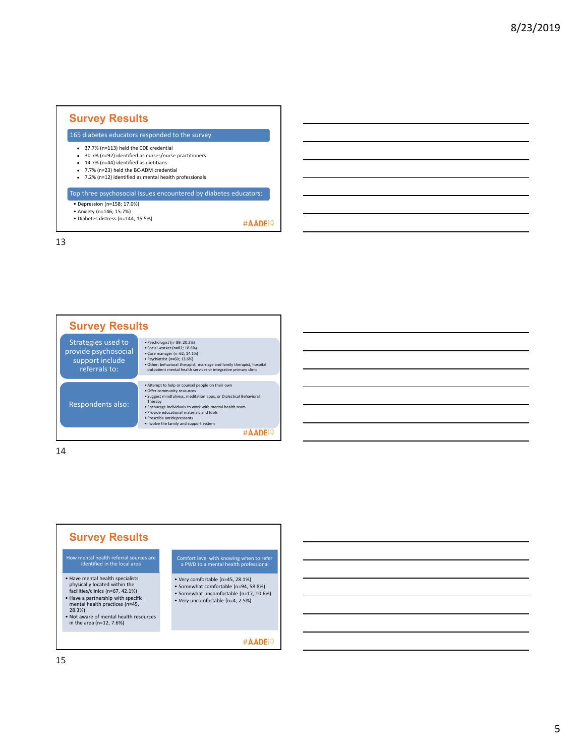## **Survey Results**

165 diabetes educators responded to the survey

- 37.7% (n=113) held the CDE credential
- 30.7% (n=92) identified as nurses/nurse practitioners
- $-14.7\%$  (n=44) identified as dietitians ● 7.7% (n=23) held the BC-ADM credential
- 7.2% (n=12) identified as mental health professionals
- 

### Top three psychosocial issues encountered by diabetes educators:

- Depression (n=158; 17.0%)
- Anxiety (n=146; 15.7%) • Diabetes distress (n=144; 15.5%)

#AADE<sup>19</sup>

13



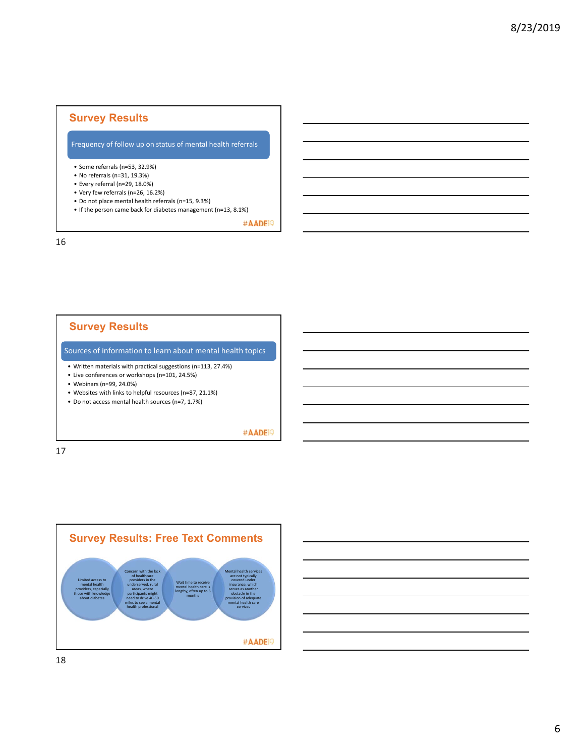## **Survey Results**

#### Frequency of follow up on status of mental health referrals

- Some referrals (n=53, 32.9%)
- No referrals (n=31, 19.3%)
- Every referral (n=29, 18.0%)
- Very few referrals (n=26, 16.2%)
- Do not place mental health referrals (n=15, 9.3%)
- If the person came back for diabetes management (n=13, 8.1%)

#AADE<sup>19</sup>

16

## **Survey Results**

Sources of information to learn about mental health topics

- Written materials with practical suggestions (n=113, 27.4%)
- Live conferences or workshops (n=101, 24.5%)
- Webinars (n=99, 24.0%)
- Websites with links to helpful resources (n=87, 21.1%)
- Do not access mental health sources (n=7, 1.7%)

#AADE<sup>19</sup>

17



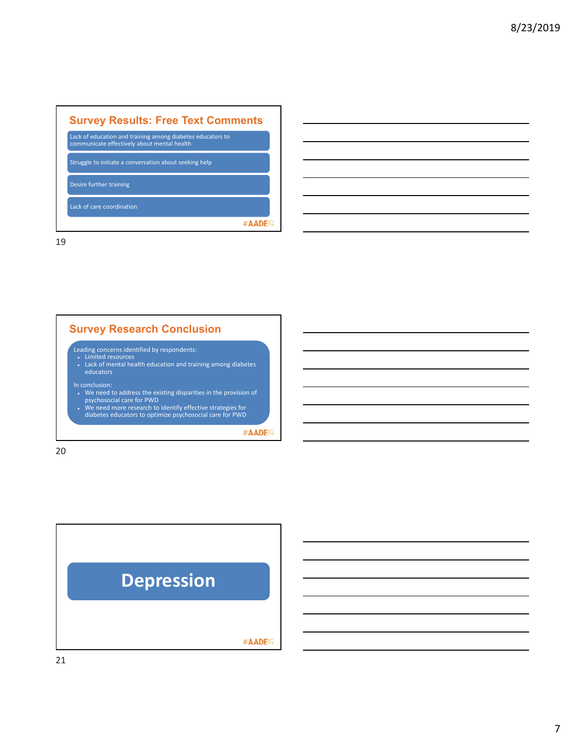| <b>Survey Results: Free Text Comments</b>                                                                 |  |
|-----------------------------------------------------------------------------------------------------------|--|
| Lack of education and training among diabetes educators to<br>communicate effectively about mental health |  |
| Struggle to initiate a conversation about seeking help                                                    |  |
| Desire further training                                                                                   |  |
| Lack of care coordination                                                                                 |  |
|                                                                                                           |  |

## **Survey Research Conclusion**

Leading concerns identified by respondents:<br>• Limited resources<br>• Lack of mental health education and training among diabetes educators

- In conclusion:<br>• We need to address the existing disparities in the provision of<br>psychosocial care for PWD<br>• We need more research to identify effective strategies for<br>diabetes educators to optimize psychosocial care for P
- 

#AADE<sup>19</sup>

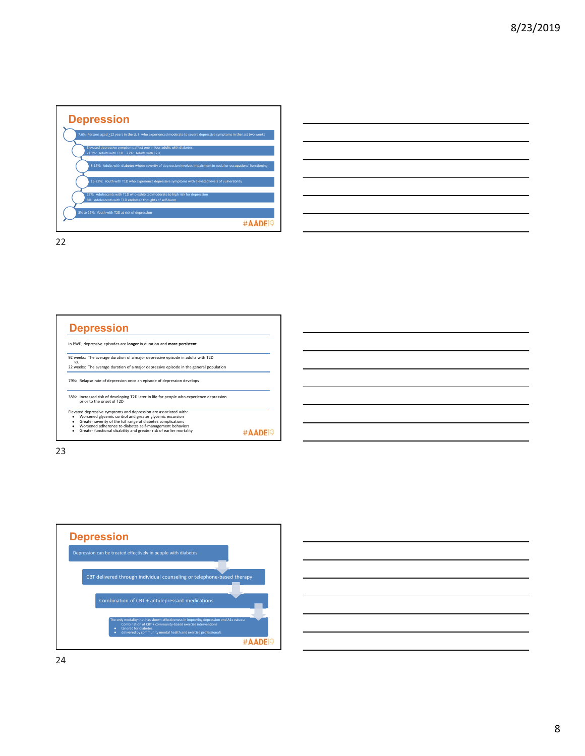



**Depression** In PWD, depressive episodes are **longer** in duration and **more persistent** 92 weeks: The average duration of a major depressive episode in adults with T2D *vs.* 22 weeks: The average duration of a major depressive episode in the general population 79%: Relapse rate of depression once an episode of depression develops 38%: Increased risk of developing T2D later in life for people who experience depression prior to the onset of T2D Elevated depressive symptoms and depression are associated with:<br>Worsened glycemic control and greater glycemic excursion<br>• Greater severity of the full range of diabetes complications<br>• Worsened adherence to diabetes self #AADE<sup>19</sup>



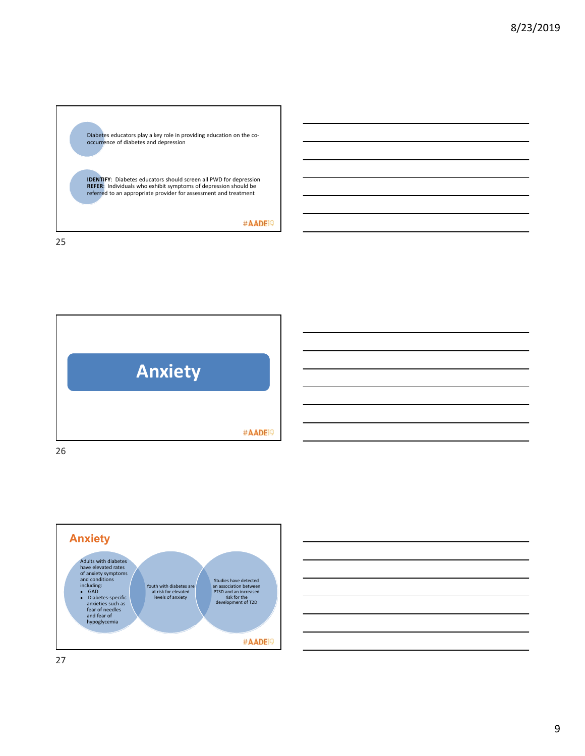





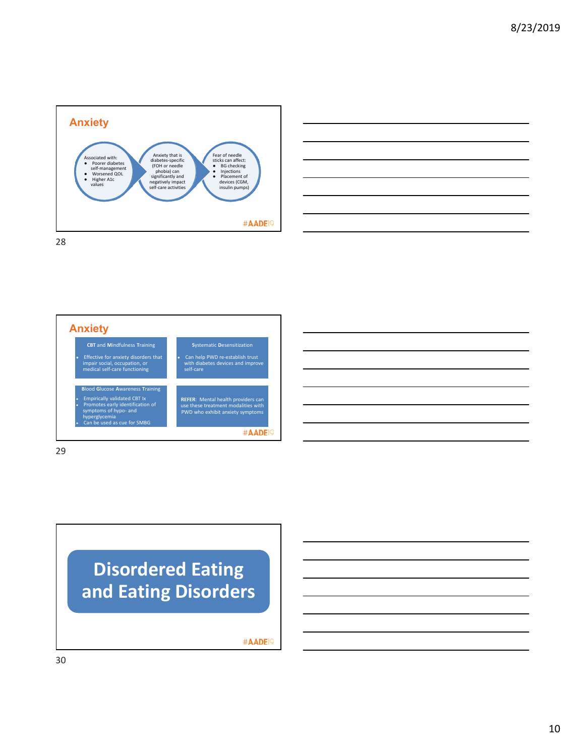









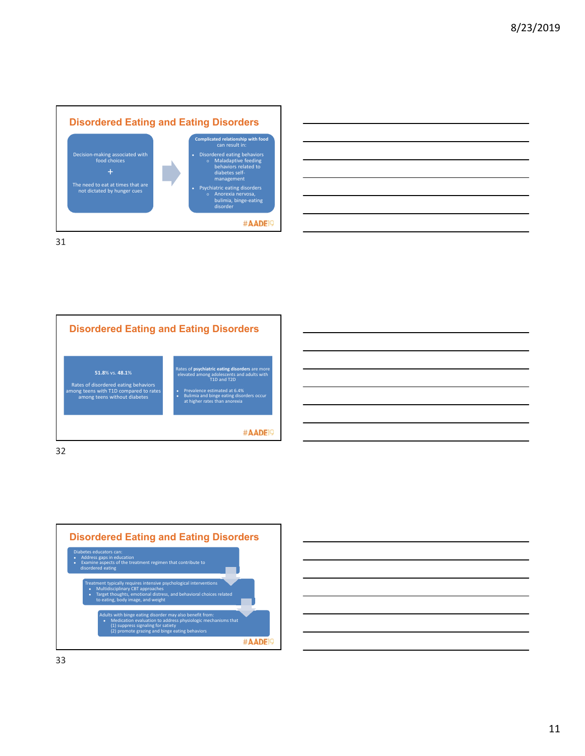



**Disordered Eating and Eating Disorders** Rates of **psychiatric eating disorders** are more elevated among adolescents and adults with T1D and T2D **51.8**% vs. **48.1**% Rates of disordered eating behaviors among teens with T1D compared to rates among teens without diabetes ● Prevalence estimated at 6.4% ● Bulimia and binge eating disorders occur at higher rates than anorexia #AADE<sup>19</sup> 32





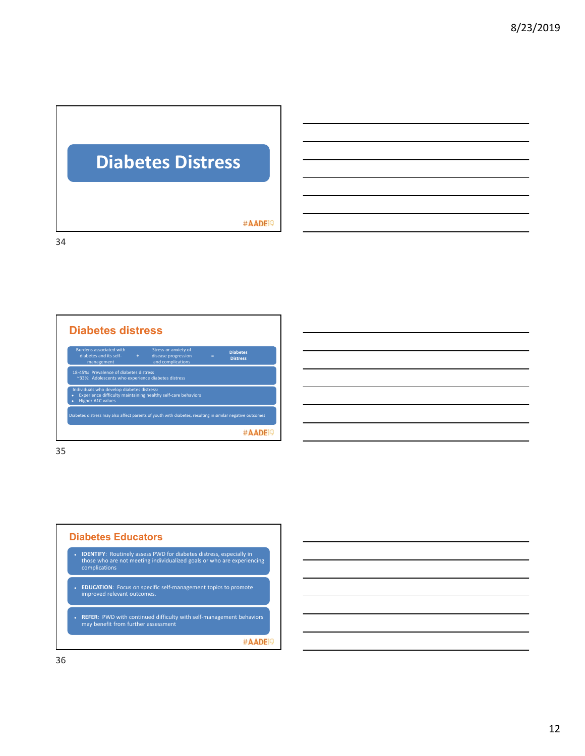# **Diabetes Distress**

#AADE<sup>19</sup>

34



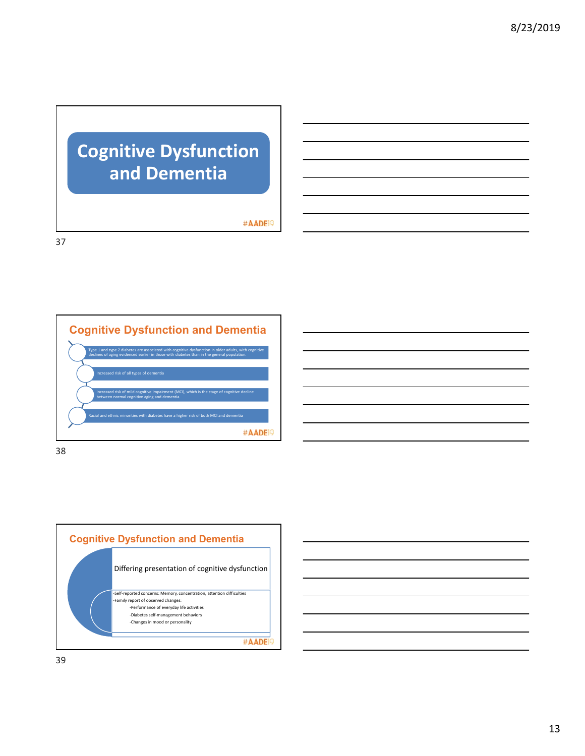# **Cognitive Dysfunction and Dementia**

#AADE<sup>19</sup>

37





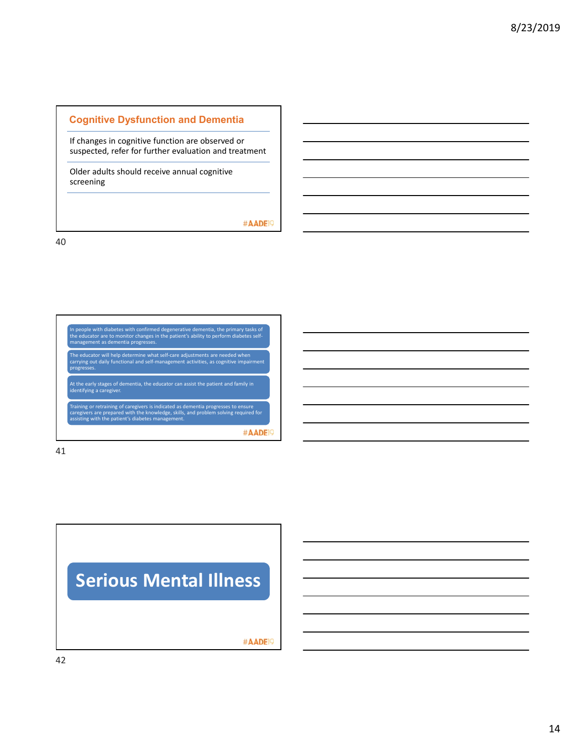#### **Cognitive Dysfunction and Dementia**

If changes in cognitive function are observed or suspected, refer for further evaluation and treatment

Older adults should receive annual cognitive screening

#AADE<sup>19</sup>

40



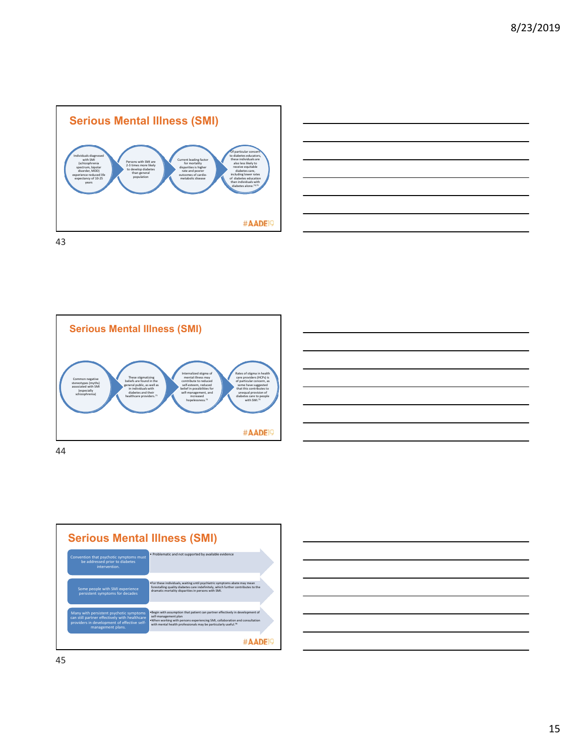







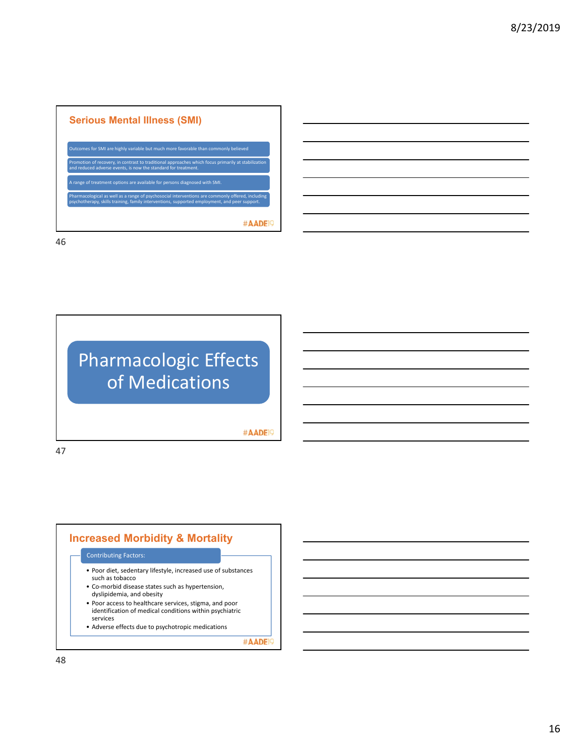| Outcomes for SMI are highly variable but much more favorable than commonly believed                                                                                                               |
|---------------------------------------------------------------------------------------------------------------------------------------------------------------------------------------------------|
| Promotion of recovery, in contrast to traditional approaches which focus primarily at stabilization<br>and reduced adverse events, is now the standard for treatment.                             |
| A range of treatment options are available for persons diagnosed with SMI.                                                                                                                        |
| Pharmacological as well as a range of psychosocial interventions are commonly offered, including<br>psychotherapy, skills training, family interventions, supported employment, and peer support. |



#AADE<sup>19</sup>

47



#AADE<sup>19</sup>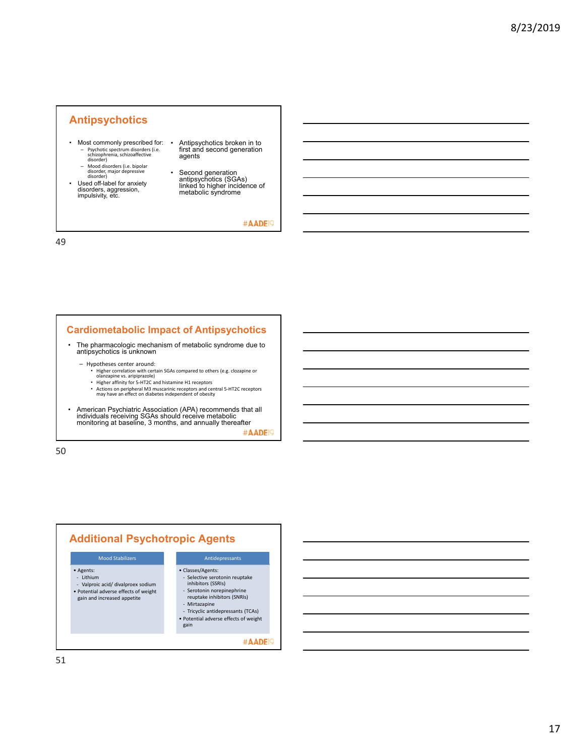### **Antipsychotics**

- Most commonly prescribed for: – Psychotic spectrum disorders (i.e. schizophrenia, schizoaffective disorder)
- Mood disorders (i.e. bipolar disorder, major depressive disorder)
- Used off-label for anxiety disorders, aggression, impulsivity, etc.
- Antipsychotics broken in to first and second generation agents
- Second generation antipsychotics (SGAs) linked to higher incidence of metabolic syndrome

#AADE<sup>19</sup>

49

### **Cardiometabolic Impact of Antipsychotics**

- The pharmacologic mechanism of metabolic syndrome due to antipsychotics is unknown
	-
	- Hypotheses center around: Higher correlation with certain SGAs compared to others (e.g. clozapine or olanzapine vs. aripiprazole)
		- Higher affinity for 5‐HT2C and histamine H1 receptors
		- Actions on peripheral M3 muscarinic receptors and central 5‐HT2C receptors may have an effect on diabetes independent of obesity
- American Psychiatric Association (APA) recommends that all individuals receiving SGAs should receive metabolic monitoring at baseline, 3 months, and annually thereafter

#AADE<sup>19</sup>

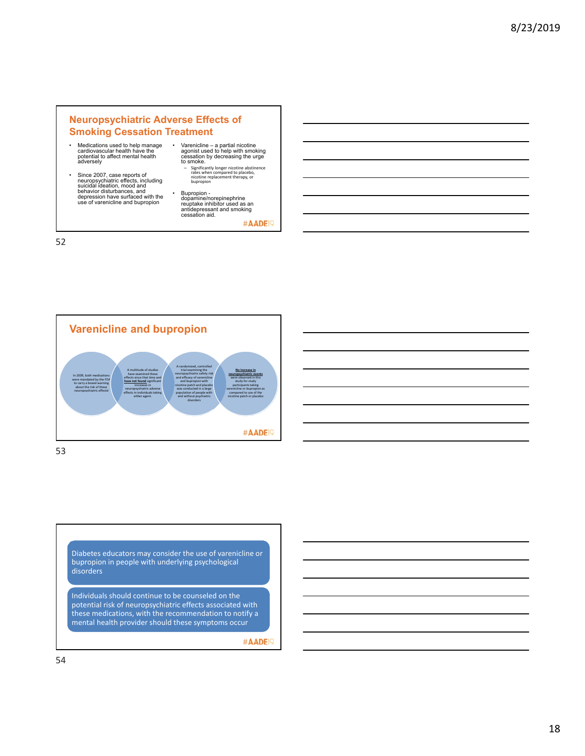#### **Neuropsychiatric Adverse Effects of Smoking Cessation Treatment**

- Medications used to help manage cardiovascular health have the potential to affect mental health adversely
- Since 2007, case reports of neuropsychiatric effects, including suicidal ideation, mood and behavior disturbances, and depression have surfaced with the use of varenicline and bupropion
- Varenicline a partial nicotine agonist used to help with smoking cessation by decreasing the urge to smoke.
	- Significantly longer nicotine abstinence rates when compared to placebo, nicotine replacement therapy, or bupropion
- Bupropion dopamine/norepinephrine reuptake inhibitor used as an antidepressant and smoking cessation aid.

#AADE<sup>19</sup>

52



Diabetes educators may consider the use of varenicline or bupropion in people with underlying psychological disorders

Individuals should continue to be counseled on the potential risk of neuropsychiatric effects associated with these medications, with the recommendation to notify a mental health provider should these symptoms occur

#AADE<sup>19</sup>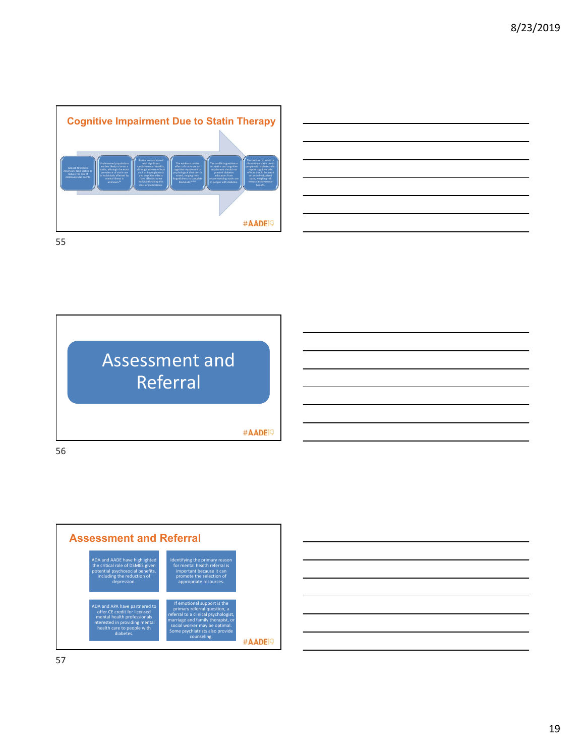





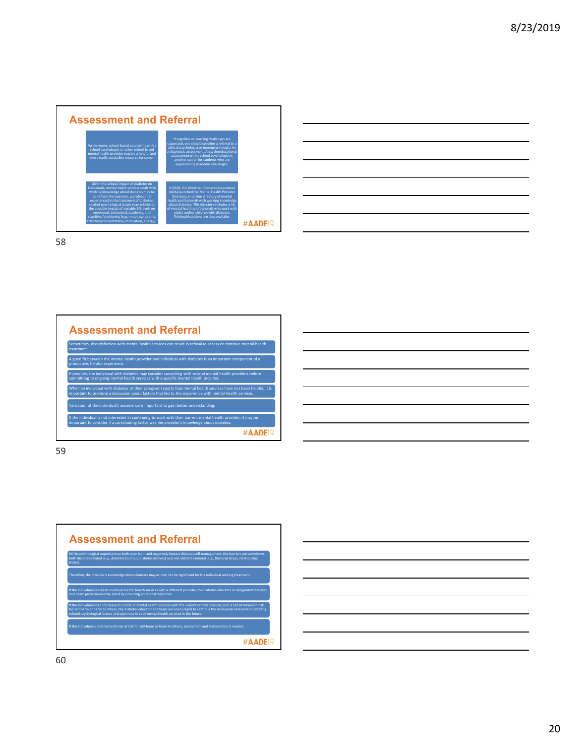



| treatment.                      | Sometimes, dissatisfaction with mental health services can result in refusal to access or continue mental health                                                                                                                 |
|---------------------------------|----------------------------------------------------------------------------------------------------------------------------------------------------------------------------------------------------------------------------------|
| productive, helpful experience. | A good fit between the mental health provider and individual with diabetes is an important component of a                                                                                                                        |
|                                 | If possible, the individual with diabetes may consider consulting with several mental health providers before<br>committing to ongoing mental health services with a specific mental health provider.                            |
|                                 | When an individual with diabetes or their caregiver reports that mental health services have not been helpful, it is<br>important to promote a discussion about factors that led to this experience with mental health services. |
|                                 | Validation of the individual's experience is important to gain better understanding.                                                                                                                                             |
|                                 | If the individual is not interested in continuing to work with their current mental health provider, it may be<br>important to consider if a contributing factor was the provider's knowledge about diabetes.                    |

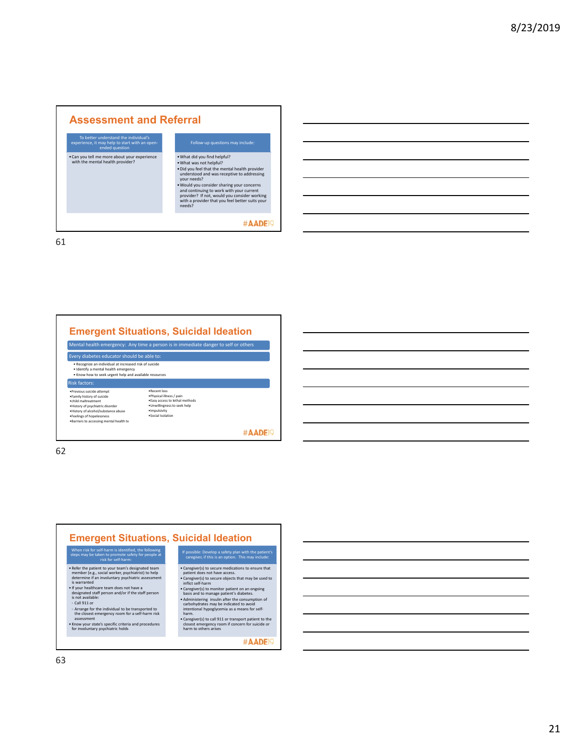## **Assessment and Referral**  To better understand the individual's experience, it may help to start with an open‐ ended question •What did you find helpful? •Can you tell me more about your experience with the mental health provider? •What was not helpful? •Did you feel that the mental health provider understood and was receptive to addressing your needs? •Would you consider sharing your concerns and continuing to work with your current provider? If not, would you consider working with a provider that you feel better suits your needs? #AADE<sup>19</sup> 61

**Emergent Situations, Suicidal Ideation**



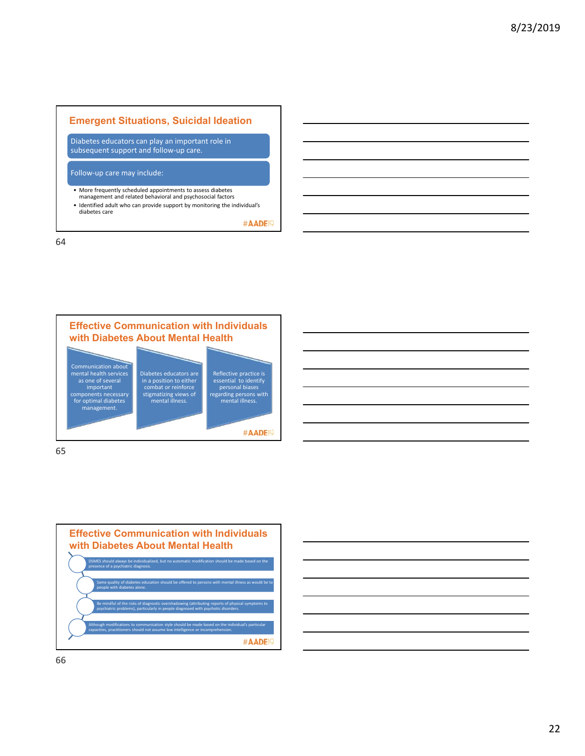## **Emergent Situations, Suicidal Ideation** Diabetes educators can play an important role in subsequent support and follow‐up care. Follow‐up care may include:

• More frequently scheduled appointments to assess diabetes management and related behavioral and psychosocial factors • Identified adult who can provide support by monitoring the individual's diabetes care

#AADE<sup>19</sup>







| <u> 1989 - Andrea Andrew Maria (h. 1989).</u><br>1905 - Andrew Maria (h. 1906).                                        |  |  |  |
|------------------------------------------------------------------------------------------------------------------------|--|--|--|
| <u>. Kanada ay kalendar ara-daharanjarahasin'ilay kaominina dia 42 metatra. Ny fisiana ara-daharampehintany ary </u>   |  |  |  |
| <u> 1989 - Johann Stoff, amerikansk politiker (d. 1989)</u>                                                            |  |  |  |
| <u> 1988 - An de Amerikaanse kommunister in de Amerikaanse kommunister op de Amerikaanse kommunister op de Amerika</u> |  |  |  |
|                                                                                                                        |  |  |  |
| <u> 1989 - Johann Harry Harry Harry Harry Harry Harry Harry Harry Harry Harry Harry Harry Harry Harry Harry Harry</u>  |  |  |  |
|                                                                                                                        |  |  |  |